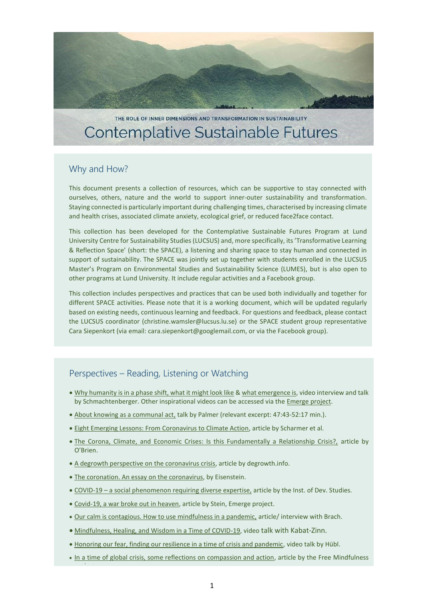

THE ROLE OF INNER DIMENSIONS AND TRANSFORMATION IN SUSTAINABILITY **Contemplative Sustainable Futures** 

## Why and How?

This document presents a collection of resources, which can be supportive to stay connected with ourselves, others, nature and the world to support inner-outer sustainability and transformation. Staying connected is particularly important during challenging times, characterised by increasing climate and health crises, associated climate anxiety, ecological grief, or reduced face2face contact.

This collection has been developed for the Contemplative Sustainable Futures Program at Lund University Centre for Sustainability Studies (LUCSUS) and, more specifically, its 'Transformative Learning & Reflection Space' (short: the SPACE), a listening and sharing space to stay human and connected in support of sustainability. The SPACE was jointly set up together with students enrolled in the LUCSUS Master's Program on Environmental Studies and Sustainability Science (LUMES), but is also open to other programs at Lund University. It include regular activities and a Facebook group.

This collection includes perspectives and practices that can be used both individually and together for different SPACE activities. Please note that it is a working document, which will be updated regularly based on existing needs, continuous learning and feedback. For questions and feedback, please contact the LUCSUS coordinator (christine.wamsler@lucsus.lu.se) or the SPACE student group representative Cara Siepenkort (via email: [cara.siepenkort@googlemail.com,](mailto:cara.siepenkort@googlemail.com) or via the Facebook group).

## Perspectives – Reading, Listening or Watching

- . [Why humanity is in a phase shift, what it might look like](http://www.whatisemerging.com/videos/humanity-s-phase-shift-daniel-schmachtenberger) & [what emergence is,](https://www.youtube.com/watch?v=eh7qvXfGQho) video interview and talk by Schmachtenberger. Other inspirational videos can be accessed via th[e Emerge project.](http://www.whatisemerging.com/videos/humanity-s-phase-shift-daniel-schmachtenberger)
- [About knowing as a communal act,](https://www.youtube.com/watch?v=dZCVt21H_D8&feature=emb_title) talk by Palmer (relevant excerpt: 47:43-52:17 min.).
- **[Eight Emerging Lessons: From Coronavirus to Climate Action,](https://medium.com/presencing-institute-blog/eight-emerging-lessons-from-coronavirus-to-climate-action-683c39c10e8b) article by Scharmer et al.**
- [The Corona, Climate, and Economic Crises: Is this Fundamentally a Relationship Crisis?,](https://medium.com/@Karen_OBrien/the-corona-climate-and-economic-crises-is-this-fundamentally-a-relationship-crisis-78ca99c78adf) article by O'Brien.
- [A degrowth perspective on the coronavirus crisis,](https://www.degrowth.info/en/2020/03/a-degrowth-perspective-on-the-coronavirus-crisis/) article by degrowth.info.
- The [coronation. An essay on the coronavirus,](https://charleseisenstein.org/essays/the-coronation/) by Eisenstein.
- COVID-19 [a social phenomenon requiring diverse expertise,](https://www.ids.ac.uk/opinions/covid-19-a-social-phenomenon-requiring-diverse-expertise/) article by the Inst. of Dev. Studies.
- [Covid-19, a war broke out in heaven,](http://www.whatisemerging.com/opinions/covid-19-a-war-broke-out-in-heaven) article by Stein, Emerge project.
- [Our calm is contagious. How to use mindfulness in a pandemic,](https://www.vox.com/future-perfect/2020/3/18/21181644/coronavirus-covid-19-mindfulness-meditation-anxiety) article/ interview with Brach.
- [Mindfulness, Healing, and Wisdom in a Time of COVID-19,](https://www.youtube.com/watch?v=r2efOoRF_pw&feature=youtu.be&t=202) video talk with Kabat-Zinn.
- Honoring our fear, finding our resilience in a time of crisis and pandemic, video talk by Hübl.
- [In a time of global crisis, some reflections on compassion and action,](http://www.freemindfulness.org/blog/covid) article by the Free Mindfulness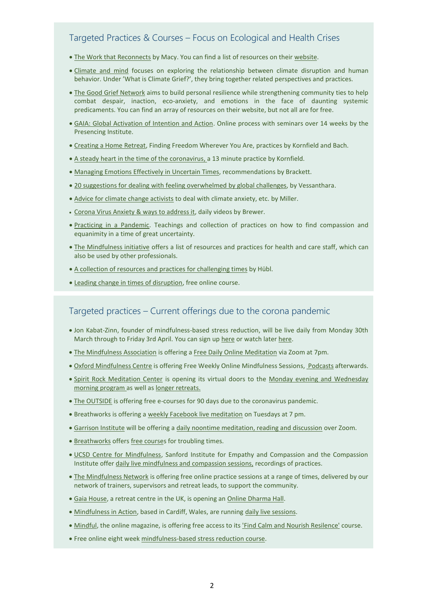# Targeted Practices & Courses – Focus on Ecological and Health Crises

- [The Work that Reconnects](https://workthatreconnects.org/) by Macy. You can find a list of resources on thei[r website.](https://workthatreconnects.org/resources/about/)
- [Climate and mind](https://www.climateandmind.org/what-is-climate-grief) focuses on exploring the relationship between climate disruption and human behavior. Under 'What is Climate Grief?', they bring together related perspectives and practices.
- . [The Good Grief Network](https://www.goodgriefnetwork.org/) aims to build personal resilience while strengthening community ties to help combat despair, inaction, eco-anxiety, and emotions in the face of daunting systemic predicaments. You can find an array of resources on their website, but not all are for free.
- [GAIA: Global Activation of Intention and Action.](https://www.presencing.org/news/news/gaia-global-activation-of-intention-and-action?fbclid=IwAR3vNpYjjxCxb1yf8TUTkOhAdC4c7hfQfozyY6z_Jd7fo8ZQiafCZ3sajqE) Online process with seminars over 14 weeks by the Presencing Institute.
- [Creating a Home Retreat,](https://jackkornfield.com/creating-a-home-retreat-finding-freedom-wherever-you-are-free-half-day-retreat-included/) Finding Freedom Wherever You Are, practices by Kornfield and Bach.
- [A steady heart in the time of the coronavirus,](https://soundcloud.com/jack-kornfield/a-steady-heart) a 13 minute practice by Kornfield.
- [Managing Emotions Effectively in Uncertain Times,](https://www.mindfulleader.org/blog/37647-managing-emotions-effectively-in?utm_medium=email&utm_campaign=711396-six-resources-to-support-you-during&utm_source=lists%2F71238-Mindful-Leader-Monthly-We-ll-send-you&simplero_object_id=su_N6kaSLCwsiwxrdRawkMjs21E) recommendations by Brackett.
- [20 suggestions for dealing with feeling overwhelmed](http://www.vessantara.net/home/talks-and-writing/talks-and-articles/20-suggestions-for-dealing-with-overwhelm) by global challenges, by Vessanthara.
- [Advice for climate change activists](https://www.youtube.com/watch?v=5bvWZTYngfg&feature=youtu.be) to deal with climate anxiety, etc. by Miller.
- [Corona Virus Anxiety & ways to address it,](https://www.youtube.com/watch?v=w4NwsyXRbNw&list=PL6sRqjtLfiTTni7oXKpSj2cQ9290lkpKH) daily videos by Brewer.
- [Practicing in a](https://tricycle.org/trikedaily/coronavirus-meditations/?utm_medium=email&utm_campaign=716586-free-resources-for-covid-19&utm_source=lists%2F76291-Mindful-Leader-Weekly-Our-latest&simplero_object_id=su_Xo4mTQ9yrGrsUEUyjoj7mvGQ) Pandemic. Teachings and collection of practices on how to find compassion and equanimity in a time of great uncertainty.
- [The Mindfulness initiative](https://www.themindfulnessinitiative.org/) offers a list of resources and practices for health and care staff, which can also be used by other professionals.
- [A collection of resources and practices for challenging times](https://thomashuebl.com/coronavirus-news/?inf_contact_key=c62ed307009bd7790d8a10daa6419f40cc0558ed5d4c28cbfab114022b1ec50d) by Hübl.
- [Leading change in times of disruption,](https://www.edx.org/course/ulab-leading-change-in-times-of-disruption) free online course.

#### Targeted practices – Current offerings due to the corona pandemic

- Jon Kabat-Zinn, founder of mindfulness-based stress reduction, will be live daily from Monday 30th March through to Friday 3rd April. You can sign up [here](https://www.eventbrite.com/e/livestream-jon-kabat-zinn-cultivating-mindfulness-at-this-critical-time-tickets-101254729622) or watch later [here.](http://www.wisdom2conference.com/live)
- [The Mindfulness Association](https://www.mindfulnessassociation.net/latest-news/free-daily-online-meditation/) is offering a [Free Daily Online Meditation](https://www.mindfulnessassociation.net/latest-news/free-daily-online-meditation/) via Zoom at 7pm.
- [Oxford Mindfulness Centre](https://oxfordmindfulness.org/) is offering Free Weekly Online Mindfulness Sessions[, Podcasts](https://oxfordmindfulness.org/online-sessions-podcasts/) afterwards.
- . [Spirit Rock Meditation Center](https://u5703377.ct.sendgrid.net/ls/click?upn=7Ya-2FPhprBUn-2Fuf67h71LbX7xDZOQETTu3AQHmWwfNE9-2FwqikC47UxrLh7v9ptVao6xit_GKgyZutgC4nMm-2FyXIt1p-2F4IPyUr-2BADccZG0zkfk-2FaklXu14wonkUplK-2BgbwPNh5BzqHsveZajwT1zZ6WYG7DGB726TOdGw9BUcidYEXhRPRYdyRqQ23km7qAQd87c-2BWhK8BZ0WiGFmsm0BcmIXofBtYKzKGKrosKrGSN3RIgRTM-2FVu8JmO9Su585mewkX1KHPhR33VNTjPCfapSKVSpH1Q-3D-3D) is opening its virtual doors to the Monday evening and Wednesday [morning program a](https://u5703377.ct.sendgrid.net/ls/click?upn=7Ya-2FPhprBUn-2Fuf67h71LbX7xDZOQETTu3AQHmWwfNE-2FjyhmjBjQnwn-2Febzk-2Fnonv5dB919zo0WNaat-2BNSBKXLg-3D-3DXS5u_GKgyZutgC4nMm-2FyXIt1p-2F4IPyUr-2BADccZG0zkfk-2FaklXu14wonkUplK-2BgbwPNh5Bg5-2BqR43p3SWTxLknD3d4tiCN3Udd6VlVcaVsarWpIEPeDvgtjX3ruJdBTOkivtzu097SxmJFSBZSMmNNmqDfbioAyHNLQbVbf5PZF-2FvQ5-2FtNF0YTgADKjyLNo5Vbw2fiIMXvg8ibnxDk7-2FukHRHuXw-3D-3D)s well a[s longer retreats.](https://u5703377.ct.sendgrid.net/ls/click?upn=7Ya-2FPhprBUn-2Fuf67h71LbX7xDZOQETTu3AQHmWwfNE9DYu9QTowKRTvjNJNJp7RzZtfcXG2FOLJw7bafvYrw-2Bw-3D-3DyJvP_GKgyZutgC4nMm-2FyXIt1p-2F4IPyUr-2BADccZG0zkfk-2FaklXu14wonkUplK-2BgbwPNh5BEbT9oyChxI-2FZw0fZKEwuWtjeCzFPX8gAPGWvUnNWM2sEXxQFeS3qEI1mcXPZOpdkPWa3kEj5ps15suKbPqEKrpvzj5ickzlObBH5q3nQxxGY6SKiOQwt77tgf9DzPBUVh-2BgJuj9z-2Bovu59YQcf3MMw-3D-3D)
- [The OUTSIDE](https://www.findtheoutside.com/) is offering free e-courses for 90 days due to the coronavirus pandemic.
- Breathworks is offering [a weekly Facebook live meditation](https://www.facebook.com/BreathworksMindfulness/) on Tuesdays at 7 pm.
- [Garrison Institute](https://www.garrisoninstitute.org/) will be offering [a daily noontime meditation, reading and discussion](http://ginst.informz.net/z/cjUucD9taT05MjE0NzQ1JnA9MSZ1PTExMTkyOTM4NzkmbGk9NzUwNjczMTQ/index.html) over Zoom.
- [Breathworks](https://www.breathworks-mindfulness.org.uk/) offers [free courses](https://www.breathworks-mindfulness.org.uk/news/a-message-from-vidyamala-covid-19-free-course-for-troubling-times) for troubling times.
- [UCSD Centre for Mindfulness,](https://medschool.ucsd.edu/som/fmph/research/mindfulness/Pages/default.aspx) Sanford Institute for Empathy and Compassion and the Compassion Institute offer [daily live mindfulness and compassion sessions,](https://medschool.ucsd.edu/som/fmph/research/mindfulness/Pages/Mindfulness-and-Compassion-Resources.aspx) recordings of practices.
- [The Mindfulness Network](https://www.mindfulness-network.org/free-online-practice-sessions/) is offering free online practice sessions at a range of times, delivered by our network of trainers, supervisors and retreat leads, to support the community.
- [Gaia House,](https://gaiahouse.co.uk/online-dharma-hall/) a retreat centre in the UK, is opening an [Online Dharma Hall.](https://gaiahouse.co.uk/online-dharma-hall/)
- [Mindfulness in Action,](https://www.mindfulnessinaction.co.uk/about-us/) based in Cardiff, Wales, are running [daily live sessions.](https://www.mindfulnessinaction.co.uk/online/)
- $\bullet$  [Mindful,](https://www.mindful.org/free-mindfulness-resources-for-calm-during-covid-outbreak/) the online magazine, is offering free access to its ['Find Calm and Nourish Resilence'](https://www.mindful.org/free-mindfulness-resources-for-calm-during-covid-outbreak/) course.
- Free online eight week [mindfulness-based stress reduction course.](https://palousemindfulness.com/index.html)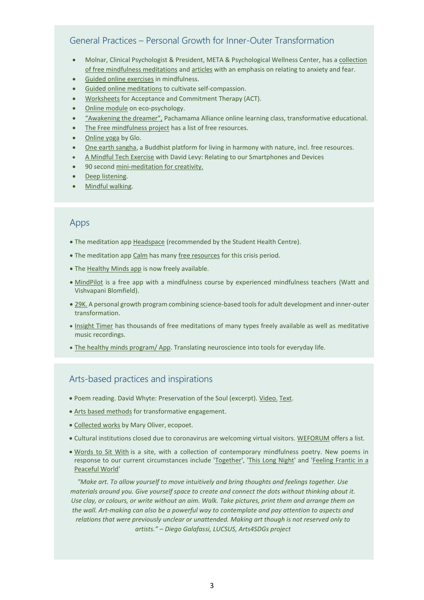# General Practices – Personal Growth for Inner-Outer Transformation

- Molnar, Clinical Psychologist & President, META & Psychological Wellness Center, has a [collection](https://www.meta4stress.com/mindfulness-audios)  [of free mindfulness meditations](https://www.meta4stress.com/mindfulness-audios) and [articles](https://www.meta4stress.com/dr-molnars-publications) with an emphasis on relating to anxiety and fear.
- [Guided online exercises](https://jaghärnu.se/mindfulness-english/) in mindfulness.
- [Guided online meditations](https://self-compassion.org/category/exercises/#guided-meditations) to cultivate self-compassion.
- [Worksheets](https://positivepsychology.com/act-worksheets/) for Acceptance and Commitment Therapy (ACT).
- [Online module](https://www.confer.uk.com/module/module-ecopsychotherapy.html) on eco-psychology.
- ["Awakening the dreamer",](https://www.pachamama.org/engage/awakening-the-dreamer) Pachamama Alliance online learning class, transformative educational.
- [The Free mindfulness project](http://www.freemindfulness.org/download) has a list of free resources.
- [Online yoga](https://www.glo.com/yoga-online) by Glo.
- [One earth sangha,](https://oneearthsangha.org/) a Buddhist platform for living in harmony with nature, incl. free resources.
- [A Mindful Tech Exercise](https://www.youtube.com/watch?v=Wf7iaZA4eyE&feature=youtu.be) with David Levy: Relating to our Smartphones and Devices
- 90 second [mini-meditation](https://soundcloud.com/hachetteaudiouk/013-mindfulness-for-creativity) for creativity.
- [Deep listening.](https://www.creativespirits.info/aboriginalculture/education/deep-listening-)
- [Mindful walking.](https://www.youtube.com/watch?v=jIUw4U1xI5A)

#### Apps

- The meditation app [Headspace](https://www.headspace.com/) (recommended by the Student Health Centre).
- The meditation app [Calm](https://www.ecosia.org/search?q=calm+app&addon=chrome&addonversion=2.1.0) has man[y free resources](https://blog.calm.com/take-a-deep-breath) for this crisis period.
- Th[e Healthy Minds app](https://hminnovations.org/hmi/blog/our-response-to-covid-19) is now freely available.
- [MindPilot](https://mindpilot.com/) is a free app with a mindfulness course by experienced mindfulness teachers (Watt and Vishvapani Blomfield).
- [29K.](https://29k.org/) A personal growth program combining science-based tools for adult development and inner-outer transformation.
- [Insight Timer](https://insighttimer.com/https:/insighttimer.com/) has thousands of free meditations of many types freely available as well as meditative music recordings.
- [The healthy minds program/](https://tryhealthyminds.org/?utm_source=Center+for+Healthy+Minds&utm_campaign=d552d1adf1-Mar2019_DNewsletter&utm_medium=email&utm_term=0_cce2315563-d552d1adf1-9558847) App. Translating neuroscience into tools for everyday life.

### Arts-based practices and inspirations

- Poem reading. David Whyte: Preservation of the Soul (excerpt). [Video.](https://www.youtube.com/watch?v=XO0OjtThqyI) [Text.](https://3.bp.blogspot.com/-kaivn-OIsyI/WTXnoYdBQkI/AAAAAAAABS4/qNbENOxR4dcYA9Lt-CQSt_x7iV_uJw8jgCLcB/s1600/Lost.jpg)
- [Arts based methods](https://www.sustainableplaceshaping.net/wp-content/uploads/2018/02/SUSPLACE-Toolkit-Arts-based-Methods-2018.pdf) for transformative engagement.
- [Collected works](https://www.poetryfoundation.org/poets/mary-oliver) by Mary Oliver, ecopoet.
- Cultural institutions closed due to coronavirus are welcoming virtual visitors. [WEFORUM](https://www.weforum.org/agenda/2020/03/world-famous-cultural-institutions-closed-due-to-coronavirus-are-welcoming-virtual-visitors/) offers a list.
- [Words to Sit With](http://www.wordstositwith.com/) is a site, with a collection of contemporary mindfulness poetry. New poems in response to our current circumstances include ['Together'](http://www.wordstositwith.com/collection), ['This Long Night'](http://www.wordstositwith.com/collection/thislongnight) and 'Feeling Frantic in a [Peaceful World'](http://www.wordstositwith.com/collection/feelingfranticinapeacefulworld)

*"Make art. To allow yourself to move intuitively and bring thoughts and feelings together. Use materials around you. Give yourself space to create and connect the dots without thinking about it. Use clay, or colours, or write without an aim. Walk. Take pictures, print them and arrange them on the wall. Art-making can also be a powerful way to contemplate and pay attention to aspects and relations that were previously unclear or unattended. Making art though is not reserved only to artists." – Diego Galafassi, LUCSUS, Arts4SDGs project*